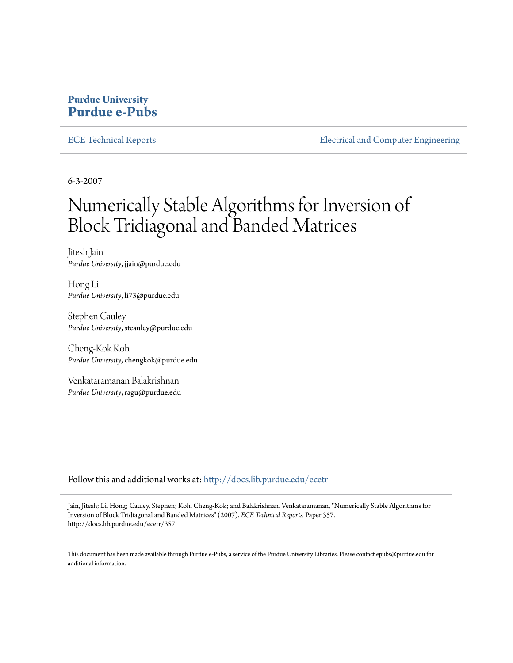#### **Purdue University [Purdue e-Pubs](http://docs.lib.purdue.edu?utm_source=docs.lib.purdue.edu%2Fecetr%2F357&utm_medium=PDF&utm_campaign=PDFCoverPages)**

[ECE Technical Reports](http://docs.lib.purdue.edu/ecetr?utm_source=docs.lib.purdue.edu%2Fecetr%2F357&utm_medium=PDF&utm_campaign=PDFCoverPages) **[Electrical and Computer Engineering](http://docs.lib.purdue.edu/ece?utm_source=docs.lib.purdue.edu%2Fecetr%2F357&utm_medium=PDF&utm_campaign=PDFCoverPages)** 

6-3-2007

# Numerically Stable Algorithms for Inversion of Block Tridiagonal and Banded Matrices

Jitesh Jain *Purdue University*, jjain@purdue.edu

Hong Li *Purdue University*, li73@purdue.edu

Stephen Cauley *Purdue University*, stcauley@purdue.edu

Cheng-Kok Koh *Purdue University*, chengkok@purdue.edu

Venkataramanan Balakrishnan *Purdue University*, ragu@purdue.edu

Follow this and additional works at: [http://docs.lib.purdue.edu/ecetr](http://docs.lib.purdue.edu/ecetr?utm_source=docs.lib.purdue.edu%2Fecetr%2F357&utm_medium=PDF&utm_campaign=PDFCoverPages)

Jain, Jitesh; Li, Hong; Cauley, Stephen; Koh, Cheng-Kok; and Balakrishnan, Venkataramanan, "Numerically Stable Algorithms for Inversion of Block Tridiagonal and Banded Matrices" (2007). *ECE Technical Reports.* Paper 357. http://docs.lib.purdue.edu/ecetr/357

This document has been made available through Purdue e-Pubs, a service of the Purdue University Libraries. Please contact epubs@purdue.edu for additional information.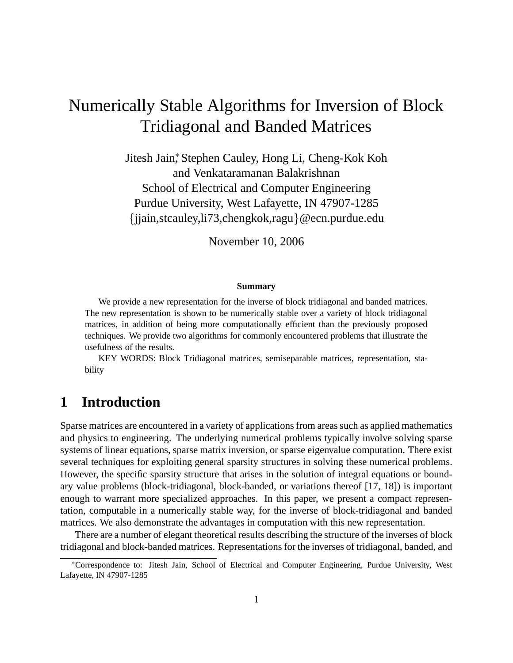# Numerically Stable Algorithms for Inversion of Block Tridiagonal and Banded Matrices

Jitesh Jain<sup>∗</sup> , Stephen Cauley, Hong Li, Cheng-Kok Koh and Venkataramanan Balakrishnan School of Electrical and Computer Engineering Purdue University, West Lafayette, IN 47907-1285 {jjain,stcauley,li73,chengkok,ragu}@ecn.purdue.edu

November 10, 2006

#### **Summary**

We provide a new representation for the inverse of block tridiagonal and banded matrices. The new representation is shown to be numerically stable over a variety of block tridiagonal matrices, in addition of being more computationally efficient than the previously proposed techniques. We provide two algorithms for commonly encountered problems that illustrate the usefulness of the results.

KEY WORDS: Block Tridiagonal matrices, semiseparable matrices, representation, stability

#### **1 Introduction**

Sparse matrices are encountered in a variety of applications from areas such as applied mathematics and physics to engineering. The underlying numerical problems typically involve solving sparse systems of linear equations, sparse matrix inversion, or sparse eigenvalue computation. There exist several techniques for exploiting general sparsity structures in solving these numerical problems. However, the specific sparsity structure that arises in the solution of integral equations or boundary value problems (block-tridiagonal, block-banded, or variations thereof [17, 18]) is important enough to warrant more specialized approaches. In this paper, we present a compact representation, computable in a numerically stable way, for the inverse of block-tridiagonal and banded matrices. We also demonstrate the advantages in computation with this new representation.

There are a number of elegant theoretical results describing the structure of the inverses of block tridiagonal and block-banded matrices. Representations for the inverses of tridiagonal, banded, and

<sup>∗</sup>Correspondence to: Jitesh Jain, School of Electrical and Computer Engineering, Purdue University, West Lafayette, IN 47907-1285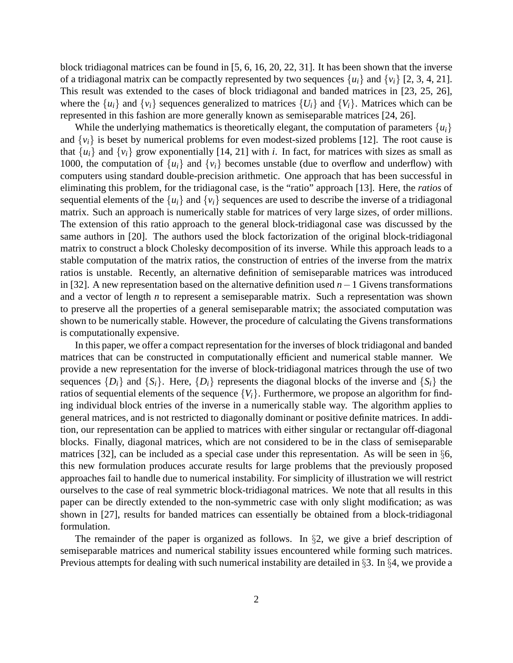block tridiagonal matrices can be found in [5, 6, 16, 20, 22, 31]. It has been shown that the inverse of a tridiagonal matrix can be compactly represented by two sequences  $\{u_i\}$  and  $\{v_i\}$  [2, 3, 4, 21]. This result was extended to the cases of block tridiagonal and banded matrices in [23, 25, 26], where the  $\{u_i\}$  and  $\{v_i\}$  sequences generalized to matrices  $\{U_i\}$  and  $\{V_i\}$ . Matrices which can be represented in this fashion are more generally known as semiseparable matrices [24, 26].

While the underlying mathematics is theoretically elegant, the computation of parameters  $\{u_i\}$ and  $\{v_i\}$  is beset by numerical problems for even modest-sized problems [12]. The root cause is that  $\{u_i\}$  and  $\{v_i\}$  grow exponentially [14, 21] with *i*. In fact, for matrices with sizes as small as 1000, the computation of  $\{u_i\}$  and  $\{v_i\}$  becomes unstable (due to overflow and underflow) with computers using standard double-precision arithmetic. One approach that has been successful in eliminating this problem, for the tridiagonal case, is the "ratio" approach [13]. Here, the *ratios* of sequential elements of the  $\{u_i\}$  and  $\{v_i\}$  sequences are used to describe the inverse of a tridiagonal matrix. Such an approach is numerically stable for matrices of very large sizes, of order millions. The extension of this ratio approach to the general block-tridiagonal case was discussed by the same authors in [20]. The authors used the block factorization of the original block-tridiagonal matrix to construct a block Cholesky decomposition of its inverse. While this approach leads to a stable computation of the matrix ratios, the construction of entries of the inverse from the matrix ratios is unstable. Recently, an alternative definition of semiseparable matrices was introduced in [32]. A new representation based on the alternative definition used *n*−1 Givens transformations and a vector of length *n* to represent a semiseparable matrix. Such a representation was shown to preserve all the properties of a general semiseparable matrix; the associated computation was shown to be numerically stable. However, the procedure of calculating the Givens transformations is computationally expensive.

In this paper, we offer a compact representation for the inverses of block tridiagonal and banded matrices that can be constructed in computationally efficient and numerical stable manner. We provide a new representation for the inverse of block-tridiagonal matrices through the use of two sequences  ${D_i}$  and  ${S_i}$ . Here,  ${D_i}$  represents the diagonal blocks of the inverse and  ${S_i}$  the ratios of sequential elements of the sequence  ${V_i}$ . Furthermore, we propose an algorithm for finding individual block entries of the inverse in a numerically stable way. The algorithm applies to general matrices, and is not restricted to diagonally dominant or positive definite matrices. In addition, our representation can be applied to matrices with either singular or rectangular off-diagonal blocks. Finally, diagonal matrices, which are not considered to be in the class of semiseparable matrices [32], can be included as a special case under this representation. As will be seen in §6, this new formulation produces accurate results for large problems that the previously proposed approaches fail to handle due to numerical instability. For simplicity of illustration we will restrict ourselves to the case of real symmetric block-tridiagonal matrices. We note that all results in this paper can be directly extended to the non-symmetric case with only slight modification; as was shown in [27], results for banded matrices can essentially be obtained from a block-tridiagonal formulation.

The remainder of the paper is organized as follows. In §2, we give a brief description of semiseparable matrices and numerical stability issues encountered while forming such matrices. Previous attempts for dealing with such numerical instability are detailed in §3. In §4, we provide a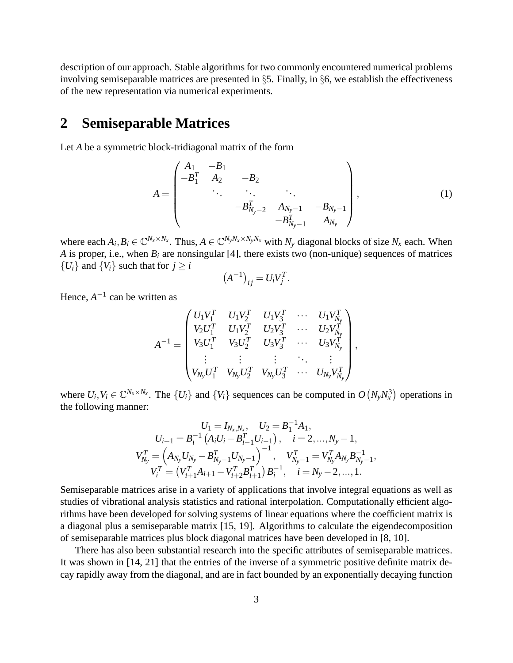description of our approach. Stable algorithms for two commonly encountered numerical problems involving semiseparable matrices are presented in §5. Finally, in §6, we establish the effectiveness of the new representation via numerical experiments.

#### **2 Semiseparable Matrices**

Let *A* be a symmetric block-tridiagonal matrix of the form

$$
A = \begin{pmatrix} A_1 & -B_1 & & & \\ -B_1^T & A_2 & -B_2 & & \\ & \ddots & \ddots & \ddots & \\ & & -B_{N_y-2}^T & A_{N_y-1} & -B_{N_y-1} \\ & & & -B_{N_y-1}^T & A_{N_y} \end{pmatrix},
$$
(1)

where each  $A_i, B_i \in \mathbb{C}^{N_x \times N_x}$ . Thus,  $A \in \mathbb{C}^{N_y N_x \times N_y N_x}$  with  $N_y$  diagonal blocks of size  $N_x$  each. When *A* is proper, i.e., when  $B_i$  are nonsingular [4], there exists two (non-unique) sequences of matrices  ${U_i}$  and  ${V_i}$  such that for  $j \geq i$ 

$$
(A^{-1})_{ij} = U_i V_j^T.
$$

Hence,  $A^{-1}$  can be written as

$$
A^{-1} = \begin{pmatrix} U_1 V_1^T & U_1 V_2^T & U_1 V_3^T & \cdots & U_1 V_{N_v}^T \\ V_2 U_1^T & U_1 V_2^T & U_2 V_3^T & \cdots & U_2 V_{N_v}^T \\ V_3 U_1^T & V_3 U_2^T & U_3 V_3^T & \cdots & U_3 V_{N_v}^T \\ \vdots & \vdots & \vdots & \ddots & \vdots \\ V_{N_y} U_1^T & V_{N_y} U_2^T & V_{N_y} U_3^T & \cdots & U_{N_y} V_{N_y}^T \end{pmatrix},
$$

where  $U_i, V_i \in \mathbb{C}^{N_x \times N_x}$ . The  $\{U_i\}$  and  $\{V_i\}$  sequences can be computed in  $O(N_yN_x^3)$  operations in the following manner:

$$
U_1 = I_{N_x, N_x}, \quad U_2 = B_1^{-1} A_1,
$$
  
\n
$$
U_{i+1} = B_i^{-1} (A_i U_i - B_{i-1}^T U_{i-1}), \quad i = 2, ..., N_y - 1,
$$
  
\n
$$
V_{N_y}^T = \left(A_{N_y} U_{N_y} - B_{N_y - 1}^T U_{N_y - 1}\right)^{-1}, \quad V_{N_y - 1}^T = V_{N_y}^T A_{N_y} B_{N_y - 1}^{-1},
$$
  
\n
$$
V_i^T = \left(V_{i+1}^T A_{i+1} - V_{i+2}^T B_{i+1}^T\right) B_i^{-1}, \quad i = N_y - 2, ..., 1.
$$

Semiseparable matrices arise in a variety of applications that involve integral equations as well as studies of vibrational analysis statistics and rational interpolation. Computationally efficient algorithms have been developed for solving systems of linear equations where the coefficient matrix is a diagonal plus a semiseparable matrix [15, 19]. Algorithms to calculate the eigendecomposition of semiseparable matrices plus block diagonal matrices have been developed in [8, 10].

There has also been substantial research into the specific attributes of semiseparable matrices. It was shown in [14, 21] that the entries of the inverse of a symmetric positive definite matrix decay rapidly away from the diagonal, and are in fact bounded by an exponentially decaying function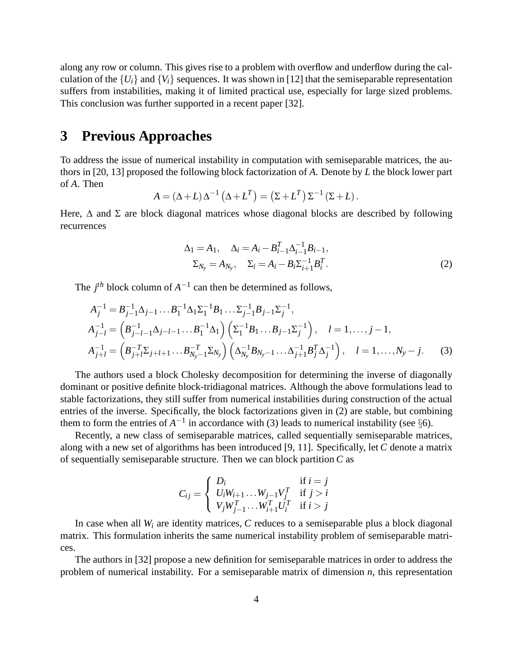along any row or column. This gives rise to a problem with overflow and underflow during the calculation of the  $\{U_i\}$  and  $\{V_i\}$  sequences. It was shown in [12] that the semiseparable representation suffers from instabilities, making it of limited practical use, especially for large sized problems. This conclusion was further supported in a recent paper [32].

#### **3 Previous Approaches**

To address the issue of numerical instability in computation with semiseparable matrices, the authors in [20, 13] proposed the following block factorization of *A*. Denote by *L* the block lower part of *A*. Then

$$
A = (\Delta + L) \Delta^{-1} (\Delta + L^{T}) = (\Sigma + L^{T}) \Sigma^{-1} (\Sigma + L).
$$

Here,  $\Delta$  and  $\Sigma$  are block diagonal matrices whose diagonal blocks are described by following recurrences

$$
\Delta_1 = A_1, \quad \Delta_i = A_i - B_{i-1}^T \Delta_{i-1}^{-1} B_{i-1}, \n\Sigma_{N_y} = A_{N_y}, \quad \Sigma_i = A_i - B_i \Sigma_{i+1}^{-1} B_i^T.
$$
\n(2)

The  $j<sup>th</sup>$  block column of  $A^{-1}$  can then be determined as follows,

$$
A_{j}^{-1} = B_{j-1}^{-1} \Delta_{j-1} \dots B_{1}^{-1} \Delta_{1} \Sigma_{1}^{-1} B_{1} \dots \Sigma_{j-1}^{-1} B_{j-1} \Sigma_{j}^{-1},
$$
  
\n
$$
A_{j-l}^{-1} = \left( B_{j-l-1}^{-1} \Delta_{j-l-1} \dots B_{1}^{-1} \Delta_{1} \right) \left( \Sigma_{1}^{-1} B_{1} \dots B_{j-1} \Sigma_{j}^{-1} \right), \quad l = 1, \dots, j-1,
$$
  
\n
$$
A_{j+l}^{-1} = \left( B_{j+l}^{-T} \Sigma_{j+l+1} \dots B_{N_{y}-1}^{-T} \Sigma_{N_{y}} \right) \left( \Delta_{N_{y}}^{-1} B_{N_{y}-1} \dots \Delta_{j+1}^{-1} B_{j}^{T} \Delta_{j}^{-1} \right), \quad l = 1, \dots, N_{y} - j.
$$
 (3)

The authors used a block Cholesky decomposition for determining the inverse of diagonally dominant or positive definite block-tridiagonal matrices. Although the above formulations lead to stable factorizations, they still suffer from numerical instabilities during construction of the actual entries of the inverse. Specifically, the block factorizations given in (2) are stable, but combining them to form the entries of  $A^{-1}$  in accordance with (3) leads to numerical instability (see §6).

Recently, a new class of semiseparable matrices, called sequentially semiseparable matrices, along with a new set of algorithms has been introduced [9, 11]. Specifically, let *C* denote a matrix of sequentially semiseparable structure. Then we can block partition *C* as

$$
C_{ij} = \begin{cases} D_i & \text{if } i = j \\ U_i W_{i+1} \dots W_{j-1} V_j^T & \text{if } j > i \\ V_j W_{j-1}^T \dots W_{i+1}^T U_i^T & \text{if } i > j \end{cases}
$$

In case when all *W<sup>i</sup>* are identity matrices, *C* reduces to a semiseparable plus a block diagonal matrix. This formulation inherits the same numerical instability problem of semiseparable matrices.

The authors in [32] propose a new definition for semiseparable matrices in order to address the problem of numerical instability. For a semiseparable matrix of dimension *n*, this representation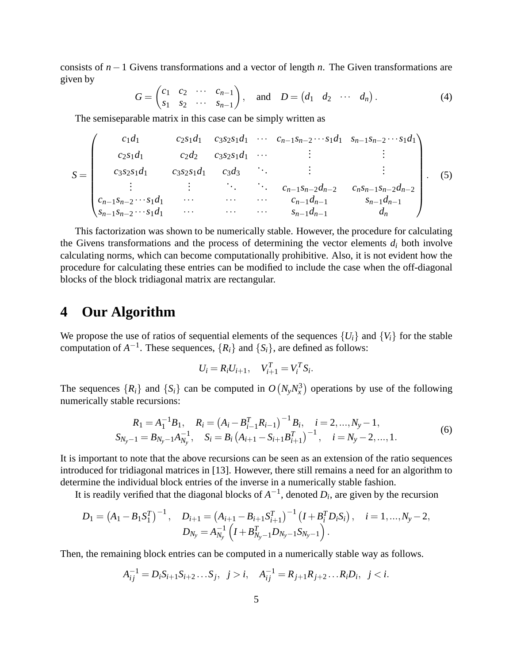consists of *n*−1 Givens transformations and a vector of length *n*. The Given transformations are given by

$$
G = \begin{pmatrix} c_1 & c_2 & \cdots & c_{n-1} \\ s_1 & s_2 & \cdots & s_{n-1} \end{pmatrix}, \quad \text{and} \quad D = \begin{pmatrix} d_1 & d_2 & \cdots & d_n \end{pmatrix}.
$$

The semiseparable matrix in this case can be simply written as

$$
S = \begin{pmatrix} c_1d_1 & c_2s_1d_1 & c_3s_2s_1d_1 & \cdots & c_{n-1}s_{n-2}\cdots s_1d_1 & s_{n-1}s_{n-2}\cdots s_1d_1 \\ c_2s_1d_1 & c_2d_2 & c_3s_2s_1d_1 & \cdots & \vdots & \vdots \\ c_3s_2s_1d_1 & c_3s_3 & \cdots & \vdots & \vdots \\ \vdots & \vdots & \ddots & \ddots & c_{n-1}s_{n-2}d_{n-2} & c_ns_{n-1}s_{n-2}d_{n-2} \\ \vdots & \vdots & \ddots & \vdots & c_{n-1}d_{n-1} & s_{n-1}d_{n-1} \\ s_{n-1}s_{n-2}\cdots s_1d_1 & \cdots & \cdots & \cdots & s_{n-1}d_{n-1} & d_n \end{pmatrix}.
$$
 (5)

This factorization was shown to be numerically stable. However, the procedure for calculating the Givens transformations and the process of determining the vector elements  $d_i$  both involve calculating norms, which can become computationally prohibitive. Also, it is not evident how the procedure for calculating these entries can be modified to include the case when the off-diagonal blocks of the block tridiagonal matrix are rectangular.

#### **4 Our Algorithm**

We propose the use of ratios of sequential elements of the sequences  $\{U_i\}$  and  $\{V_i\}$  for the stable computation of  $A^{-1}$ . These sequences,  $\{R_i\}$  and  $\{S_i\}$ , are defined as follows:

$$
U_i = R_i U_{i+1}, \quad V_{i+1}^T = V_i^T S_i.
$$

The sequences  $\{R_i\}$  and  $\{S_i\}$  can be computed in  $O(N_yN_x^3)$  operations by use of the following numerically stable recursions:

$$
R_1 = A_1^{-1}B_1, \quad R_i = (A_i - B_{i-1}^T R_{i-1})^{-1}B_i, \quad i = 2, ..., N_y - 1,
$$
  
\n
$$
S_{N_y - 1} = B_{N_y - 1}A_{N_y}^{-1}, \quad S_i = B_i (A_{i+1} - S_{i+1}B_{i+1}^T)^{-1}, \quad i = N_y - 2, ..., 1.
$$
\n(6)

It is important to note that the above recursions can be seen as an extension of the ratio sequences introduced for tridiagonal matrices in [13]. However, there still remains a need for an algorithm to determine the individual block entries of the inverse in a numerically stable fashion.

It is readily verified that the diagonal blocks of  $A^{-1}$ , denoted  $D_i$ , are given by the recursion

$$
D_1 = (A_1 - B_1 S_1^T)^{-1}, \quad D_{i+1} = (A_{i+1} - B_{i+1} S_{i+1}^T)^{-1} (I + B_i^T D_i S_i), \quad i = 1,..., N_y - 2,
$$
  

$$
D_{N_y} = A_{N_y}^{-1} (I + B_{N_y - 1}^T D_{N_y - 1} S_{N_y - 1}).
$$

Then, the remaining block entries can be computed in a numerically stable way as follows.

$$
A_{ij}^{-1} = D_i S_{i+1} S_{i+2} \dots S_j, \quad j > i, \quad A_{ij}^{-1} = R_{j+1} R_{j+2} \dots R_i D_i, \quad j < i.
$$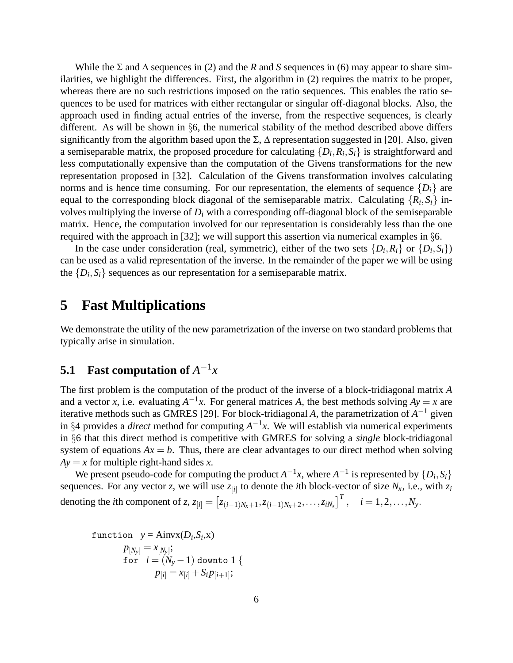While the  $\Sigma$  and  $\Delta$  sequences in (2) and the *R* and *S* sequences in (6) may appear to share similarities, we highlight the differences. First, the algorithm in (2) requires the matrix to be proper, whereas there are no such restrictions imposed on the ratio sequences. This enables the ratio sequences to be used for matrices with either rectangular or singular off-diagonal blocks. Also, the approach used in finding actual entries of the inverse, from the respective sequences, is clearly different. As will be shown in  $\S6$ , the numerical stability of the method described above differs significantly from the algorithm based upon the  $\Sigma$ ,  $\Delta$  representation suggested in [20]. Also, given a semiseparable matrix, the proposed procedure for calculating  $\{D_i, R_i, S_i\}$  is straightforward and less computationally expensive than the computation of the Givens transformations for the new representation proposed in [32]. Calculation of the Givens transformation involves calculating norms and is hence time consuming. For our representation, the elements of sequence  $\{D_i\}$  are equal to the corresponding block diagonal of the semiseparable matrix. Calculating  $\{R_i, S_i\}$  involves multiplying the inverse of *D<sup>i</sup>* with a corresponding off-diagonal block of the semiseparable matrix. Hence, the computation involved for our representation is considerably less than the one required with the approach in [32]; we will support this assertion via numerical examples in  $\S6$ .

In the case under consideration (real, symmetric), either of the two sets  $\{D_i, R_i\}$  or  $\{D_i, S_i\}$ ) can be used as a valid representation of the inverse. In the remainder of the paper we will be using the  $\{D_i, S_i\}$  sequences as our representation for a semiseparable matrix.

#### **5 Fast Multiplications**

We demonstrate the utility of the new parametrization of the inverse on two standard problems that typically arise in simulation.

#### **5.1** Fast computation of  $A^{-1}x$

The first problem is the computation of the product of the inverse of a block-tridiagonal matrix *A* and a vector *x*, i.e. evaluating  $A^{-1}x$ . For general matrices *A*, the best methods solving  $Ay = x$  are iterative methods such as GMRES [29]. For block-tridiagonal *A*, the parametrization of *A* <sup>−</sup><sup>1</sup> given in §4 provides a *direct* method for computing  $A^{-1}x$ . We will establish via numerical experiments in §6 that this direct method is competitive with GMRES for solving a *single* block-tridiagonal system of equations  $Ax = b$ . Thus, there are clear advantages to our direct method when solving  $Ay = x$  for multiple right-hand sides *x*.

We present pseudo-code for computing the product  $A^{-1}x$ , where  $A^{-1}$  is represented by  $\{D_i, S_i\}$ sequences. For any vector *z*, we will use  $z_{[i]}$  to denote the *i*th block-vector of size  $N_x$ , i.e., with  $z_i$ denoting the *i*th component of z,  $z_{[i]} = [z_{(i-1)N_x+1}, z_{(i-1)N_x+2}, \ldots, z_{iN_x}]^T$ ,  $i = 1, 2, \ldots, N_y$ .

function 
$$
y = \text{Ainvx}(D_i, S_i, x)
$$
  
\n
$$
p_{[N_y]} = x_{[N_y]};
$$
\nfor  $i = (N_y - 1)$  down to 1 {  
\n
$$
p_{[i]} = x_{[i]} + S_i p_{[i+1]};
$$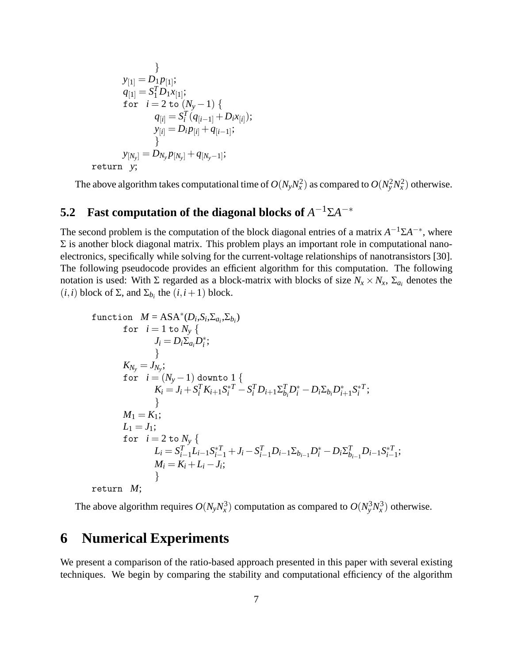$$
\begin{aligned}\n &\quad \frac{1}{2} \sum_{i=1}^{n} \left[ \begin{array}{c} \sum_{i=1}^{n} \left[ \frac{1}{2} \right] \left[ \frac{1}{2} \right] \left[ \frac{1}{2} \right] \left[ \frac{1}{2} \right] \left[ \frac{1}{2} \right] \left[ \frac{1}{2} \right] \left[ \frac{1}{2} \right] \left[ \frac{1}{2} \right] \left[ \frac{1}{2} \right] \left[ \frac{1}{2} \right] \left[ \frac{1}{2} \right] \left[ \frac{1}{2} \right] \left[ \frac{1}{2} \right] \left[ \frac{1}{2} \right] \left[ \frac{1}{2} \right] \left[ \frac{1}{2} \right] \left[ \frac{1}{2} \right] \left[ \frac{1}{2} \right] \left[ \frac{1}{2} \right] \left[ \frac{1}{2} \right] \left[ \frac{1}{2} \right] \left[ \frac{1}{2} \right] \left[ \frac{1}{2} \right] \left[ \frac{1}{2} \right] \left[ \frac{1}{2} \right] \left[ \frac{1}{2} \right] \left[ \frac{1}{2} \right] \left[ \frac{1}{2} \right] \left[ \frac{1}{2} \right] \left[ \frac{1}{2} \right] \left[ \frac{1}{2} \right] \left[ \frac{1}{2} \right] \left[ \frac{1}{2} \right] \left[ \frac{1}{2} \right] \left[ \frac{1}{2} \right] \left[ \frac{1}{2} \right] \left[ \frac{1}{2} \right] \left[ \frac{1}{2} \right] \left[ \frac{1}{2} \right] \left[ \frac{1}{2} \right] \left[ \frac{1}{2} \right] \left[ \frac{1}{2} \right] \left[ \frac{1}{2} \right] \left[ \frac{1}{2} \right] \left[ \frac{1}{2} \right] \left[ \frac{1}{2} \right] \left[ \frac{1}{2} \right] \left[ \frac{1}{2} \right] \left[ \frac{1}{2} \right] \left[ \frac{1}{2} \right] \left[ \frac{1}{2} \right] \left[ \frac{1}{2} \right] \left[ \frac{1}{2} \right] \left[ \frac{1}{2} \right] \left[ \frac{1}{2} \
$$

The above algorithm takes computational time of  $O(N_yN_x^2)$  as compared to  $O(N_y^2N_x^2)$  otherwise.

### **5.2** Fast computation of the diagonal blocks of  $A^{-1} \Sigma A^{-*}$

The second problem is the computation of the block diagonal entries of a matrix  $A^{-1} \Sigma A^{-*}$ , where  $\Sigma$  is another block diagonal matrix. This problem plays an important role in computational nanoelectronics, specifically while solving for the current-voltage relationships of nanotransistors [30]. The following pseudocode provides an efficient algorithm for this computation. The following notation is used: With  $\Sigma$  regarded as a block-matrix with blocks of size  $N_x \times N_x$ ,  $\Sigma_{a_i}$  denotes the (*i*,*i*) block of  $\Sigma$ , and  $\Sigma_{b_i}$  the (*i*,*i* + 1) block.

function 
$$
M = ASA^*(D_i, S_i, \Sigma_{a_i}, \Sigma_{b_i})
$$
  
\nfor  $i = 1$  to  $N_y$  {  
\n $J_i = D_i \Sigma_{a_i} D_i^*$ ;  
\n}  
\n $K_{N_y} = J_{N_y}$ ;  
\nfor  $i = (N_y - 1)$  down to 1 {  
\n $K_i = J_i + S_i^T K_{i+1} S_i^*^T - S_i^T D_{i+1} \Sigma_{b_i}^T D_i^* - D_i \Sigma_{b_i} D_{i+1}^* S_i^*^T$ ;  
\n $M_1 = K_1$ ;  
\n $L_1 = J_1$ ;  
\nfor  $i = 2$  to  $N_y$  {  
\n $L_i = S_{i-1}^T L_{i-1} S_{i-1}^* + J_i - S_{i-1}^T D_{i-1} \Sigma_{b_{i-1}} D_i^* - D_i \Sigma_{b_{i-1}}^T D_{i-1} S_{i-1}^{*T}$ ;  
\n $M_i = K_i + L_i - J_i$ ;  
\n $\}$   
\nreturn  $M$ ;

The above algorithm requires  $O(N_yN_x^3)$  computation as compared to  $O(N_y^3N_x^3)$  otherwise.

## **6 Numerical Experiments**

We present a comparison of the ratio-based approach presented in this paper with several existing techniques. We begin by comparing the stability and computational efficiency of the algorithm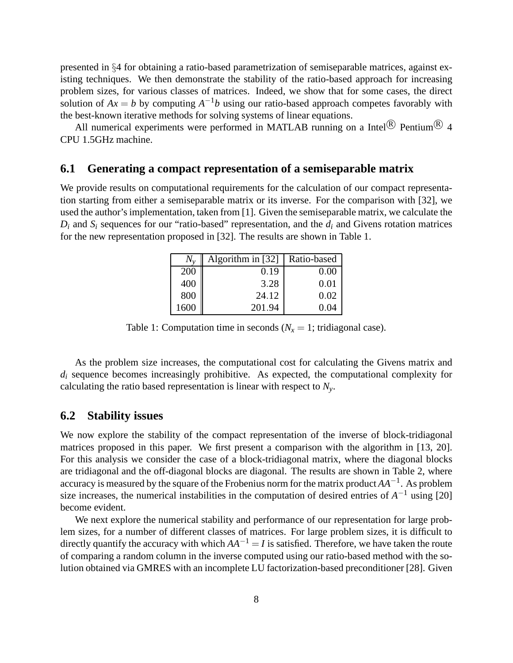presented in §4 for obtaining a ratio-based parametrization of semiseparable matrices, against existing techniques. We then demonstrate the stability of the ratio-based approach for increasing problem sizes, for various classes of matrices. Indeed, we show that for some cases, the direct solution of  $Ax = b$  by computing  $A^{-1}b$  using our ratio-based approach competes favorably with the best-known iterative methods for solving systems of linear equations.

All numerical experiments were performed in MATLAB running on a Intel $\stackrel{\circledR}{\otimes}$  Pentium $\stackrel{\circledR}{\otimes}$  4 CPU 1.5GHz machine.

#### **6.1 Generating a compact representation of a semiseparable matrix**

We provide results on computational requirements for the calculation of our compact representation starting from either a semiseparable matrix or its inverse. For the comparison with [32], we used the author's implementation, taken from [1]. Given the semiseparable matrix, we calculate the  $D_i$  and  $S_i$  sequences for our "ratio-based" representation, and the  $d_i$  and Givens rotation matrices for the new representation proposed in [32]. The results are shown in Table 1.

| $N_{v}$ | Algorithm in [32] | Ratio-based |
|---------|-------------------|-------------|
| 200     | 0.19              | 0.00        |
| 400     | 3.28              | 0.01        |
| 800     | 24.12             | 0.02        |
| 1600    | 201.94            | () ()4      |

Table 1: Computation time in seconds ( $N_x = 1$ ; tridiagonal case).

As the problem size increases, the computational cost for calculating the Givens matrix and  $d_i$  sequence becomes increasingly prohibitive. As expected, the computational complexity for calculating the ratio based representation is linear with respect to *Ny*.

#### **6.2 Stability issues**

We now explore the stability of the compact representation of the inverse of block-tridiagonal matrices proposed in this paper. We first present a comparison with the algorithm in [13, 20]. For this analysis we consider the case of a block-tridiagonal matrix, where the diagonal blocks are tridiagonal and the off-diagonal blocks are diagonal. The results are shown in Table 2, where accuracy is measured by the square of the Frobenius norm for the matrix product *AA*−<sup>1</sup> . As problem size increases, the numerical instabilities in the computation of desired entries of  $A^{-1}$  using [20] become evident.

We next explore the numerical stability and performance of our representation for large problem sizes, for a number of different classes of matrices. For large problem sizes, it is difficult to directly quantify the accuracy with which  $AA^{-1} = I$  is satisfied. Therefore, we have taken the route of comparing a random column in the inverse computed using our ratio-based method with the solution obtained via GMRES with an incomplete LU factorization-based preconditioner [28]. Given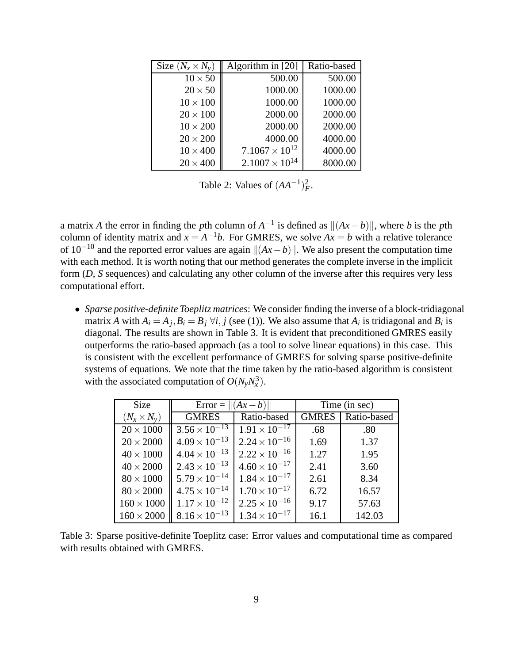| Size $(N_x \times N_y)$ | Algorithm in $[20]$     | Ratio-based |
|-------------------------|-------------------------|-------------|
| $10 \times 50$          | 500.00                  | 500.00      |
| $20 \times 50$          | 1000.00                 | 1000.00     |
| $10\times100$           | 1000.00                 | 1000.00     |
| $20 \times 100$         | 2000.00                 | 2000.00     |
| $10 \times 200$         | 2000.00                 | 2000.00     |
| $20 \times 200$         | 4000.00                 | 4000.00     |
| $10 \times 400$         | $7.1067 \times 10^{12}$ | 4000.00     |
| $20 \times 400$         | $2.1007 \times 10^{14}$ | 8000.00     |

Table 2: Values of  $(AA^{-1})_F^2$ .

a matrix *A* the error in finding the *p*th column of  $A^{-1}$  is defined as  $||(Ax - b)||$ , where *b* is the *p*th column of identity matrix and  $x = A^{-1}b$ . For GMRES, we solve  $Ax = b$  with a relative tolerance of 10<sup>−10</sup> and the reported error values are again  $\|(Ax - b)\|$ . We also present the computation time with each method. It is worth noting that our method generates the complete inverse in the implicit form (*D*, *S* sequences) and calculating any other column of the inverse after this requires very less computational effort.

• *Sparse positive-definite Toeplitz matrices*: We consider finding the inverse of a block-tridiagonal matrix *A* with  $A_i = A_j$ ,  $B_i = B_j \forall i$ , *j* (see (1)). We also assume that  $A_i$  is tridiagonal and  $B_i$  is diagonal. The results are shown in Table 3. It is evident that preconditioned GMRES easily outperforms the ratio-based approach (as a tool to solve linear equations) in this case. This is consistent with the excellent performance of GMRES for solving sparse positive-definite systems of equations. We note that the time taken by the ratio-based algorithm is consistent with the associated computation of  $O(N_yN_x^3)$ .

| Size               | Error = $  (Ax - b)  $ |                        | Time (in sec) |             |
|--------------------|------------------------|------------------------|---------------|-------------|
| $(N_x \times N_v)$ | <b>GMRES</b>           | Ratio-based            | <b>GMRES</b>  | Ratio-based |
| $20 \times 1000$   | $3.56 \times 10^{-13}$ | $1.91 \times 10^{-17}$ | .68           | .80         |
| $20 \times 2000$   | $4.09 \times 10^{-13}$ | $2.24 \times 10^{-16}$ | 1.69          | 1.37        |
| $40 \times 1000$   | $4.04 \times 10^{-13}$ | $2.22 \times 10^{-16}$ | 1.27          | 1.95        |
| $40 \times 2000$   | $2.43 \times 10^{-13}$ | $4.60 \times 10^{-17}$ | 2.41          | 3.60        |
| $80 \times 1000$   | $5.79 \times 10^{-14}$ | $1.84 \times 10^{-17}$ | 2.61          | 8.34        |
| $80 \times 2000$   | $4.75 \times 10^{-14}$ | $1.70 \times 10^{-17}$ | 6.72          | 16.57       |
| $160 \times 1000$  | $1.17 \times 10^{-12}$ | $2.25 \times 10^{-16}$ | 9.17          | 57.63       |
| $160 \times 2000$  | $8.16 \times 10^{-13}$ | $1.34 \times 10^{-17}$ | 16.1          | 142.03      |

Table 3: Sparse positive-definite Toeplitz case: Error values and computational time as compared with results obtained with GMRES.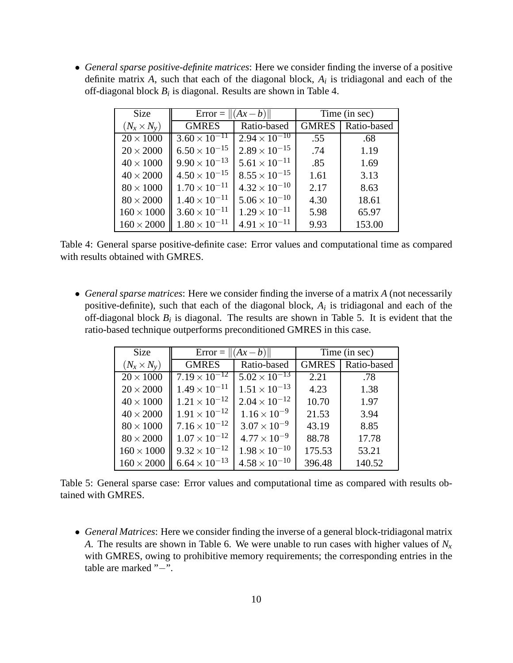• *General sparse positive-definite matrices*: Here we consider finding the inverse of a positive definite matrix *A*, such that each of the diagonal block, *A<sup>i</sup>* is tridiagonal and each of the off-diagonal block *B<sup>i</sup>* is diagonal. Results are shown in Table 4.

| Size               | Error = $  (Ax - b)  $ |                        | Time (in sec) |             |
|--------------------|------------------------|------------------------|---------------|-------------|
| $(N_x \times N_v)$ | <b>GMRES</b>           | Ratio-based            | <b>GMRES</b>  | Ratio-based |
| $20 \times 1000$   | $3.60 \times 10^{-11}$ | $2.94 \times 10^{-10}$ | .55           | .68         |
| $20 \times 2000$   | $6.50 \times 10^{-15}$ | $2.89 \times 10^{-15}$ | .74           | 1.19        |
| $40 \times 1000$   | $9.90 \times 10^{-13}$ | $5.61 \times 10^{-11}$ | .85           | 1.69        |
| $40 \times 2000$   | $4.50 \times 10^{-15}$ | $8.55 \times 10^{-15}$ | 1.61          | 3.13        |
| $80 \times 1000$   | $1.70 \times 10^{-11}$ | $4.32 \times 10^{-10}$ | 2.17          | 8.63        |
| $80\times2000$     | $1.40 \times 10^{-11}$ | $5.06 \times 10^{-10}$ | 4.30          | 18.61       |
| $160 \times 1000$  | $3.60 \times 10^{-11}$ | $1.29 \times 10^{-11}$ | 5.98          | 65.97       |
| $160\times2000$    | $1.80 \times 10^{-11}$ | $4.91 \times 10^{-11}$ | 9.93          | 153.00      |

Table 4: General sparse positive-definite case: Error values and computational time as compared with results obtained with GMRES.

• *General sparse matrices*: Here we consider finding the inverse of a matrix *A* (not necessarily positive-definite), such that each of the diagonal block, *A<sup>i</sup>* is tridiagonal and each of the off-diagonal block  $B_i$  is diagonal. The results are shown in Table 5. It is evident that the ratio-based technique outperforms preconditioned GMRES in this case.

| <b>Size</b>        | Error = $  (Ax - b)  $ |                        | Time (in sec) |             |
|--------------------|------------------------|------------------------|---------------|-------------|
| $(N_x \times N_v)$ | <b>GMRES</b>           | Ratio-based            | <b>GMRES</b>  | Ratio-based |
| $20 \times 1000$   | $7.19 \times 10^{-12}$ | $5.02 \times 10^{-13}$ | 2.21          | .78         |
| $20 \times 2000$   | $1.49 \times 10^{-11}$ | $1.51 \times 10^{-13}$ | 4.23          | 1.38        |
| $40 \times 1000$   | $1.21 \times 10^{-12}$ | $2.04 \times 10^{-12}$ | 10.70         | 1.97        |
| $40 \times 2000$   | $1.91 \times 10^{-12}$ | $1.16 \times 10^{-9}$  | 21.53         | 3.94        |
| $80\times1000$     | $7.16 \times 10^{-12}$ | $3.07 \times 10^{-9}$  | 43.19         | 8.85        |
| $80 \times 2000$   | $1.07 \times 10^{-12}$ | $4.77 \times 10^{-9}$  | 88.78         | 17.78       |
| $160 \times 1000$  | $9.32 \times 10^{-12}$ | $1.98 \times 10^{-10}$ | 175.53        | 53.21       |
| $160 \times 2000$  | $6.64 \times 10^{-13}$ | $4.58 \times 10^{-10}$ | 396.48        | 140.52      |

Table 5: General sparse case: Error values and computational time as compared with results obtained with GMRES.

• *General Matrices*: Here we consider finding the inverse of a general block-tridiagonal matrix *A*. The results are shown in Table 6. We were unable to run cases with higher values of *N<sup>x</sup>* with GMRES, owing to prohibitive memory requirements; the corresponding entries in the table are marked "−".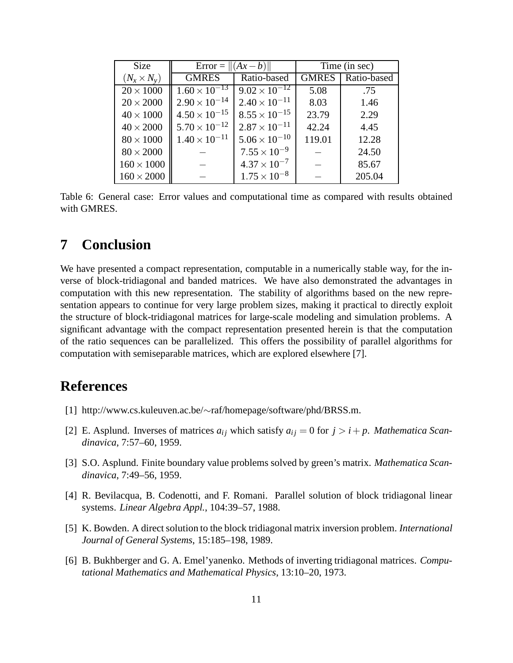| Size               | Error = $  (Ax - b)  $ |                        | Time (in sec) |             |
|--------------------|------------------------|------------------------|---------------|-------------|
| $(N_x \times N_y)$ | <b>GMRES</b>           | Ratio-based            | <b>GMRES</b>  | Ratio-based |
| $20 \times 1000$   | $1.60 \times 10^{-13}$ | $9.02 \times 10^{-12}$ | 5.08          | .75         |
| $20 \times 2000$   | $2.90 \times 10^{-14}$ | $2.40 \times 10^{-11}$ | 8.03          | 1.46        |
| $40 \times 1000$   | $4.50 \times 10^{-15}$ | $8.55 \times 10^{-15}$ | 23.79         | 2.29        |
| $40 \times 2000$   | $5.70 \times 10^{-12}$ | $2.87 \times 10^{-11}$ | 42.24         | 4.45        |
| $80 \times 1000$   | $1.40 \times 10^{-11}$ | $5.06 \times 10^{-10}$ | 119.01        | 12.28       |
| $80 \times 2000$   |                        | $7.55 \times 10^{-9}$  |               | 24.50       |
| $160 \times 1000$  |                        | $4.37 \times 10^{-7}$  |               | 85.67       |
| $160 \times 2000$  |                        | $1.75 \times 10^{-8}$  |               | 205.04      |

Table 6: General case: Error values and computational time as compared with results obtained with GMRES.

#### **7 Conclusion**

We have presented a compact representation, computable in a numerically stable way, for the inverse of block-tridiagonal and banded matrices. We have also demonstrated the advantages in computation with this new representation. The stability of algorithms based on the new representation appears to continue for very large problem sizes, making it practical to directly exploit the structure of block-tridiagonal matrices for large-scale modeling and simulation problems. A significant advantage with the compact representation presented herein is that the computation of the ratio sequences can be parallelized. This offers the possibility of parallel algorithms for computation with semiseparable matrices, which are explored elsewhere [7].

## **References**

- [1] http://www.cs.kuleuven.ac.be/∼raf/homepage/software/phd/BRSS.m.
- [2] E. Asplund. Inverses of matrices  $a_{ij}$  which satisfy  $a_{ij} = 0$  for  $j > i + p$ . *Mathematica Scandinavica*, 7:57–60, 1959.
- [3] S.O. Asplund. Finite boundary value problems solved by green's matrix. *Mathematica Scandinavica*, 7:49–56, 1959.
- [4] R. Bevilacqua, B. Codenotti, and F. Romani. Parallel solution of block tridiagonal linear systems. *Linear Algebra Appl.*, 104:39–57, 1988.
- [5] K. Bowden. A direct solution to the block tridiagonal matrix inversion problem. *International Journal of General Systems*, 15:185–198, 1989.
- [6] B. Bukhberger and G. A. Emel'yanenko. Methods of inverting tridiagonal matrices. *Computational Mathematics and Mathematical Physics*, 13:10–20, 1973.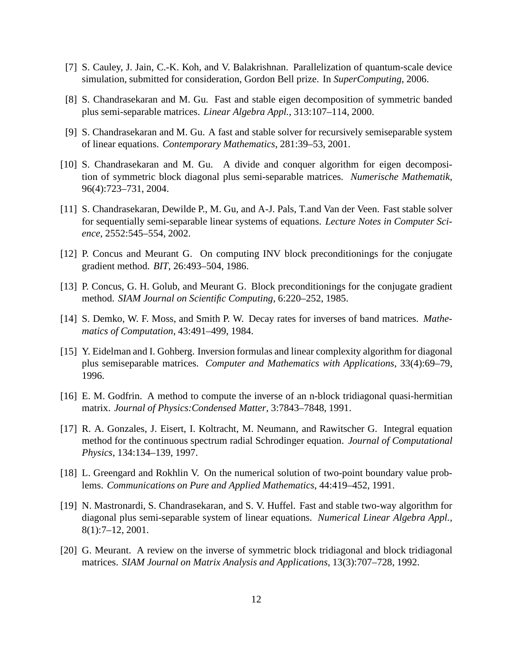- [7] S. Cauley, J. Jain, C.-K. Koh, and V. Balakrishnan. Parallelization of quantum-scale device simulation, submitted for consideration, Gordon Bell prize. In *SuperComputing*, 2006.
- [8] S. Chandrasekaran and M. Gu. Fast and stable eigen decomposition of symmetric banded plus semi-separable matrices. *Linear Algebra Appl.*, 313:107–114, 2000.
- [9] S. Chandrasekaran and M. Gu. A fast and stable solver for recursively semiseparable system of linear equations. *Contemporary Mathematics*, 281:39–53, 2001.
- [10] S. Chandrasekaran and M. Gu. A divide and conquer algorithm for eigen decomposition of symmetric block diagonal plus semi-separable matrices. *Numerische Mathematik*, 96(4):723–731, 2004.
- [11] S. Chandrasekaran, Dewilde P., M. Gu, and A-J. Pals, T.and Van der Veen. Fast stable solver for sequentially semi-separable linear systems of equations. *Lecture Notes in Computer Science*, 2552:545–554, 2002.
- [12] P. Concus and Meurant G. On computing INV block preconditionings for the conjugate gradient method. *BIT*, 26:493–504, 1986.
- [13] P. Concus, G. H. Golub, and Meurant G. Block preconditionings for the conjugate gradient method. *SIAM Journal on Scientific Computing*, 6:220–252, 1985.
- [14] S. Demko, W. F. Moss, and Smith P. W. Decay rates for inverses of band matrices. *Mathematics of Computation*, 43:491–499, 1984.
- [15] Y. Eidelman and I. Gohberg. Inversion formulas and linear complexity algorithm for diagonal plus semiseparable matrices. *Computer and Mathematics with Applications*, 33(4):69–79, 1996.
- [16] E. M. Godfrin. A method to compute the inverse of an n-block tridiagonal quasi-hermitian matrix. *Journal of Physics:Condensed Matter*, 3:7843–7848, 1991.
- [17] R. A. Gonzales, J. Eisert, I. Koltracht, M. Neumann, and Rawitscher G. Integral equation method for the continuous spectrum radial Schrodinger equation. *Journal of Computational Physics*, 134:134–139, 1997.
- [18] L. Greengard and Rokhlin V. On the numerical solution of two-point boundary value problems. *Communications on Pure and Applied Mathematics*, 44:419–452, 1991.
- [19] N. Mastronardi, S. Chandrasekaran, and S. V. Huffel. Fast and stable two-way algorithm for diagonal plus semi-separable system of linear equations. *Numerical Linear Algebra Appl.*, 8(1):7–12, 2001.
- [20] G. Meurant. A review on the inverse of symmetric block tridiagonal and block tridiagonal matrices. *SIAM Journal on Matrix Analysis and Applications*, 13(3):707–728, 1992.